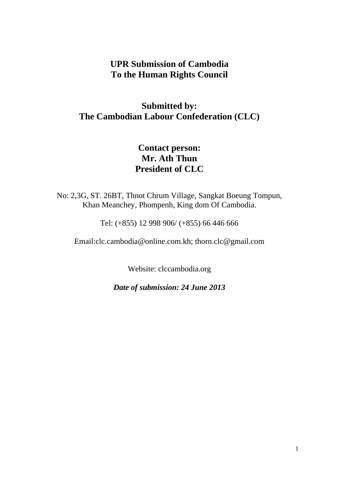## **UPR Submission of Cambodia To the Human Rights Council**

# **Submitted by: The Cambodian Labour Confederation (CLC)**

# **Contact person: Mr. Ath Thun President of CLC**

No: 2,3G, ST. 26BT, Thnot Chrum Village, Sangkat Boeung Tompun, Khan Meanchey, Phompenh, King dom Of Cambodia.

[Tel: \(+855\) 12 998 906/ \(+855\) 66 446 666](tel:(855)12998906/66446666)

[Email:clc.cambodia@online.com.kh;](mailto:Email%3Aclc.cambodia@online.com.kh) [thorn.clc@gmail.com](mailto:thorn.clc@gmail.com)

Website: [clccambodia.org](http://clccambodia.org/)

*Date of submission: 24 June 2013*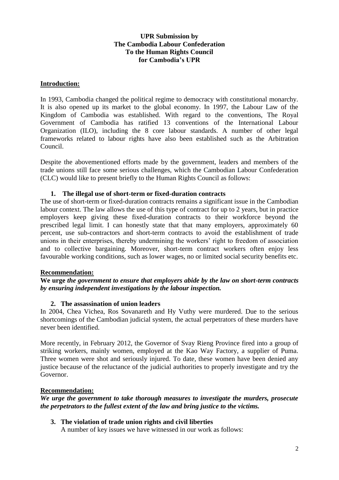## **UPR Submission by The Cambodia Labour Confederation To the Human Rights Council for Cambodia's UPR**

#### **Introduction:**

In 1993, Cambodia changed the political regime to democracy with constitutional monarchy. It is also opened up its market to the global economy. In 1997, the Labour Law of the Kingdom of Cambodia was established. With regard to the conventions, The Royal Government of Cambodia has ratified 13 conventions of the International Labour Organization (ILO), including the 8 core labour standards. A number of other legal frameworks related to labour rights have also been established such as the Arbitration Council.

Despite the abovementioned efforts made by the government, leaders and members of the trade unions still face some serious challenges, which the Cambodian Labour Confederation (CLC) would like to present briefly to the Human Rights Council as follows:

### **1. The illegal use of short-term or fixed-duration contracts**

The use of short-term or fixed-duration contracts remains a significant issue in the Cambodian labour context. The law allows the use of this type of contract for up to 2 years, but in practice employers keep giving these fixed-duration contracts to their workforce beyond the prescribed legal limit. I can honestly state that that many employers, approximately 60 percent, use sub-contractors and short-term contracts to avoid the establishment of trade unions in their enterprises, thereby undermining the workers' right to freedom of association and to collective bargaining. Moreover, short-term contract workers often enjoy less favourable working conditions, such as lower wages, no or limited social security benefits etc.

## **Recommendation:**

### **We urge** *the government to ensure that employers abide by the law on short-term contracts by ensuring independent investigations by the labour inspection.*

#### **2. The assassination of union leaders**

In 2004, Chea Vichea, Ros Sovanareth and Hy Vuthy were murdered. Due to the serious shortcomings of the Cambodian judicial system, the actual perpetrators of these murders have never been identified.

More recently, in February 2012, the Governor of Svay Rieng Province fired into a group of striking workers, mainly women, employed at the Kao Way Factory, a supplier of Puma. Three women were shot and seriously injured. To date, these women have been denied any justice because of the reluctance of the judicial authorities to properly investigate and try the Governor.

#### **Recommendation:**

*We urge the government to take thorough measures to investigate the murders, prosecute the perpetrators to the fullest extent of the law and bring justice to the victims.* 

## **3. The violation of trade union rights and civil liberties**

A number of key issues we have witnessed in our work as follows: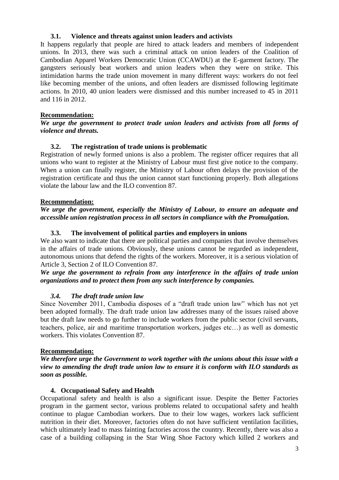### **3.1. Violence and threats against union leaders and activists**

It happens regularly that people are hired to attack leaders and members of independent unions. In 2013, there was such a criminal attack on union leaders of the Coalition of Cambodian Apparel Workers Democratic Union (CCAWDU) at the E-garment factory. The gangsters seriously beat workers and union leaders when they were on strike. This intimidation harms the trade union movement in many different ways: workers do not feel like becoming member of the unions, and often leaders are dismissed following legitimate actions. In 2010, 40 union leaders were dismissed and this number increased to 45 in 2011 and 116 in 2012.

## **Recommendation:**

*We urge the government to protect trade union leaders and activists from all forms of violence and threats.* 

## **3.2. The registration of trade unions is problematic**

Registration of newly formed unions is also a problem. The register officer requires that all unions who want to register at the Ministry of Labour must first give notice to the company. When a union can finally register, the Ministry of Labour often delays the provision of the registration certificate and thus the union cannot start functioning properly. Both allegations violate the labour law and the ILO convention 87.

#### **Recommendation:**

#### *We urge the government, especially the Ministry of Labour, to ensure an adequate and accessible union registration process in all sectors in compliance with the Promulgation.*

### **3.3. The involvement of political parties and employers in unions**

We also want to indicate that there are political parties and companies that involve themselves in the affairs of trade unions. Obviously, these unions cannot be regarded as independent, autonomous unions that defend the rights of the workers. Moreover, it is a serious violation of Article 3, Section 2 of ILO Convention 87.

### *We urge the government to refrain from any interference in the affairs of trade union organizations and to protect them from any such interference by companies.*

#### *3.4. The draft trade union law*

Since November 2011, Cambodia disposes of a "draft trade union law" which has not yet been adopted formally. The draft trade union law addresses many of the issues raised above but the draft law needs to go further to include workers from the public sector (civil servants, teachers, police, air and maritime transportation workers, judges etc…) as well as domestic workers. This violates Convention 87.

#### **Recommendation:**

*We therefore urge the Government to work together with the unions about this issue with a view to amending the draft trade union law to ensure it is conform with ILO standards as soon as possible.* 

#### **4. Occupational Safety and Health**

Occupational safety and health is also a significant issue. Despite the Better Factories program in the garment sector, various problems related to occupational safety and health continue to plague Cambodian workers. Due to their low wages, workers lack sufficient nutrition in their diet. Moreover, factories often do not have sufficient ventilation facilities, which ultimately lead to mass fainting factories across the country. Recently, there was also a case of a building collapsing in the Star Wing Shoe Factory which killed 2 workers and